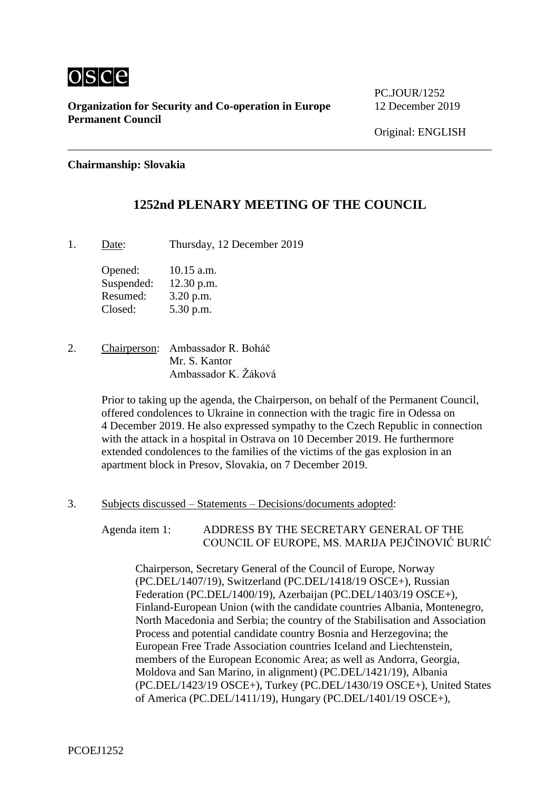

**Organization for Security and Co-operation in Europe** 12 December 2019 **Permanent Council**

PC.JOUR/1252

**Chairmanship: Slovakia**

# **1252nd PLENARY MEETING OF THE COUNCIL**

1. Date: Thursday, 12 December 2019

Opened: 10.15 a.m. Suspended: 12.30 p.m. Resumed: 3.20 p.m. Closed: 5.30 p.m.

2. Chairperson: Ambassador R. Boháč Mr. S. Kantor Ambassador K. Žáková

> Prior to taking up the agenda, the Chairperson, on behalf of the Permanent Council, offered condolences to Ukraine in connection with the tragic fire in Odessa on 4 December 2019. He also expressed sympathy to the Czech Republic in connection with the attack in a hospital in Ostrava on 10 December 2019. He furthermore extended condolences to the families of the victims of the gas explosion in an apartment block in Presov, Slovakia, on 7 December 2019.

3. Subjects discussed – Statements – Decisions/documents adopted:

Agenda item 1: ADDRESS BY THE SECRETARY GENERAL OF THE COUNCIL OF EUROPE, MS. MARIJA PEJČINOVIĆ BURIĆ

Chairperson, Secretary General of the Council of Europe, Norway (PC.DEL/1407/19), Switzerland (PC.DEL/1418/19 OSCE+), Russian Federation (PC.DEL/1400/19), Azerbaijan (PC.DEL/1403/19 OSCE+), Finland-European Union (with the candidate countries Albania, Montenegro, North Macedonia and Serbia; the country of the Stabilisation and Association Process and potential candidate country Bosnia and Herzegovina; the European Free Trade Association countries Iceland and Liechtenstein, members of the European Economic Area; as well as Andorra, Georgia, Moldova and San Marino, in alignment) (PC.DEL/1421/19), Albania (PC.DEL/1423/19 OSCE+), Turkey (PC.DEL/1430/19 OSCE+), United States of America (PC.DEL/1411/19), Hungary (PC.DEL/1401/19 OSCE+),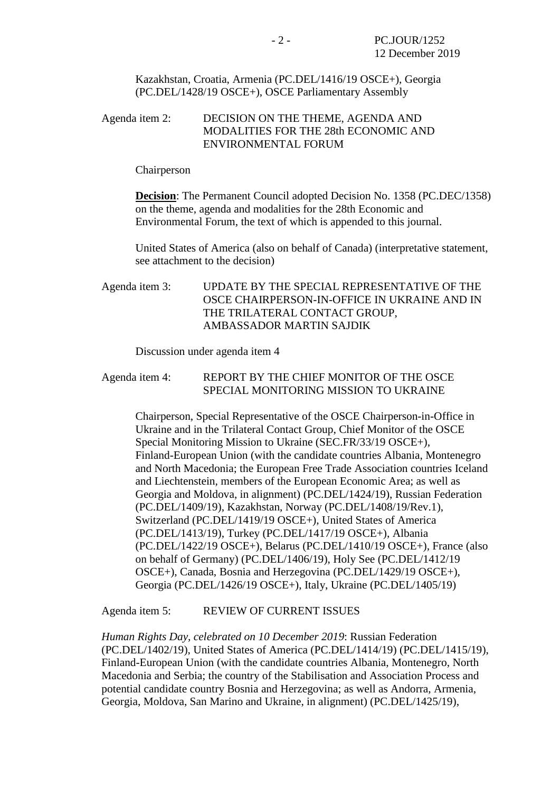Kazakhstan, Croatia, Armenia (PC.DEL/1416/19 OSCE+), Georgia (PC.DEL/1428/19 OSCE+), OSCE Parliamentary Assembly

### Agenda item 2: DECISION ON THE THEME, AGENDA AND MODALITIES FOR THE 28th ECONOMIC AND ENVIRONMENTAL FORUM

Chairperson

**Decision**: The Permanent Council adopted Decision No. 1358 (PC.DEC/1358) on the theme, agenda and modalities for the 28th Economic and Environmental Forum, the text of which is appended to this journal.

United States of America (also on behalf of Canada) (interpretative statement, see attachment to the decision)

Agenda item 3: UPDATE BY THE SPECIAL REPRESENTATIVE OF THE OSCE CHAIRPERSON-IN-OFFICE IN UKRAINE AND IN THE TRILATERAL CONTACT GROUP, AMBASSADOR MARTIN SAJDIK

Discussion under agenda item 4

Agenda item 4: REPORT BY THE CHIEF MONITOR OF THE OSCE SPECIAL MONITORING MISSION TO UKRAINE

Chairperson, Special Representative of the OSCE Chairperson-in-Office in Ukraine and in the Trilateral Contact Group, Chief Monitor of the OSCE Special Monitoring Mission to Ukraine (SEC.FR/33/19 OSCE+), Finland-European Union (with the candidate countries Albania, Montenegro and North Macedonia; the European Free Trade Association countries Iceland and Liechtenstein, members of the European Economic Area; as well as Georgia and Moldova, in alignment) (PC.DEL/1424/19), Russian Federation (PC.DEL/1409/19), Kazakhstan, Norway (PC.DEL/1408/19/Rev.1), Switzerland (PC.DEL/1419/19 OSCE+), United States of America (PC.DEL/1413/19), Turkey (PC.DEL/1417/19 OSCE+), Albania (PC.DEL/1422/19 OSCE+), Belarus (PC.DEL/1410/19 OSCE+), France (also on behalf of Germany) (PC.DEL/1406/19), Holy See (PC.DEL/1412/19 OSCE+), Canada, Bosnia and Herzegovina (PC.DEL/1429/19 OSCE+), Georgia (PC.DEL/1426/19 OSCE+), Italy, Ukraine (PC.DEL/1405/19)

Agenda item 5: REVIEW OF CURRENT ISSUES

*Human Rights Day, celebrated on 10 December 2019*: Russian Federation (PC.DEL/1402/19), United States of America (PC.DEL/1414/19) (PC.DEL/1415/19), Finland-European Union (with the candidate countries Albania, Montenegro, North Macedonia and Serbia; the country of the Stabilisation and Association Process and potential candidate country Bosnia and Herzegovina; as well as Andorra, Armenia, Georgia, Moldova, San Marino and Ukraine, in alignment) (PC.DEL/1425/19),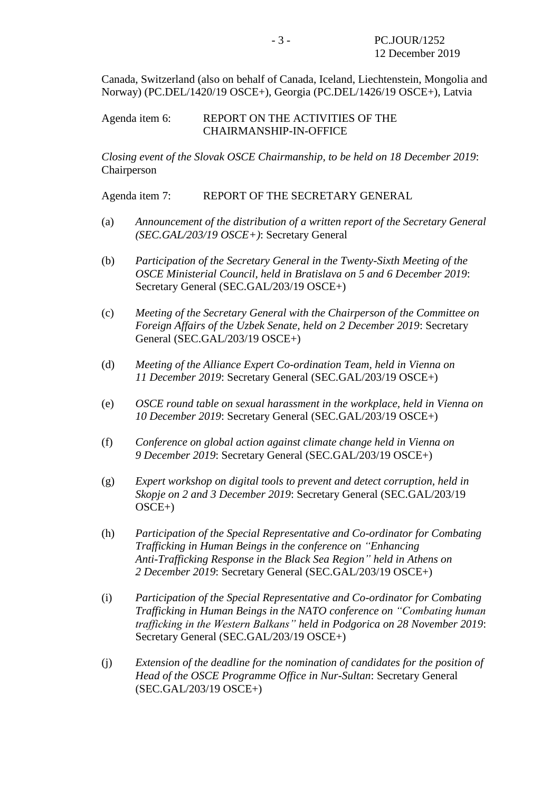Canada, Switzerland (also on behalf of Canada, Iceland, Liechtenstein, Mongolia and Norway) (PC.DEL/1420/19 OSCE+), Georgia (PC.DEL/1426/19 OSCE+), Latvia

#### Agenda item 6: REPORT ON THE ACTIVITIES OF THE CHAIRMANSHIP-IN-OFFICE

*Closing event of the Slovak OSCE Chairmanship, to be held on 18 December 2019*: Chairperson

Agenda item 7: REPORT OF THE SECRETARY GENERAL

- (a) *Announcement of the distribution of a written report of the Secretary General (SEC.GAL/203/19 OSCE+)*: Secretary General
- (b) *Participation of the Secretary General in the Twenty-Sixth Meeting of the OSCE Ministerial Council, held in Bratislava on 5 and 6 December 2019*: Secretary General (SEC.GAL/203/19 OSCE+)
- (c) *Meeting of the Secretary General with the Chairperson of the Committee on Foreign Affairs of the Uzbek Senate, held on 2 December 2019*: Secretary General (SEC.GAL/203/19 OSCE+)
- (d) *Meeting of the Alliance Expert Co-ordination Team, held in Vienna on 11 December 2019*: Secretary General (SEC.GAL/203/19 OSCE+)
- (e) *OSCE round table on sexual harassment in the workplace, held in Vienna on 10 December 2019*: Secretary General (SEC.GAL/203/19 OSCE+)
- (f) *Conference on global action against climate change held in Vienna on 9 December 2019*: Secretary General (SEC.GAL/203/19 OSCE+)
- (g) *Expert workshop on digital tools to prevent and detect corruption, held in Skopje on 2 and 3 December 2019*: Secretary General (SEC.GAL/203/19 OSCE+)
- (h) *Participation of the Special Representative and Co-ordinator for Combating Trafficking in Human Beings in the conference on "Enhancing Anti-Trafficking Response in the Black Sea Region" held in Athens on 2 December 2019*: Secretary General (SEC.GAL/203/19 OSCE+)
- (i) *Participation of the Special Representative and Co-ordinator for Combating Trafficking in Human Beings in the NATO conference on "Combating human trafficking in the Western Balkans" held in Podgorica on 28 November 2019*: Secretary General (SEC.GAL/203/19 OSCE+)
- (j) *Extension of the deadline for the nomination of candidates for the position of Head of the OSCE Programme Office in Nur-Sultan*: Secretary General (SEC.GAL/203/19 OSCE+)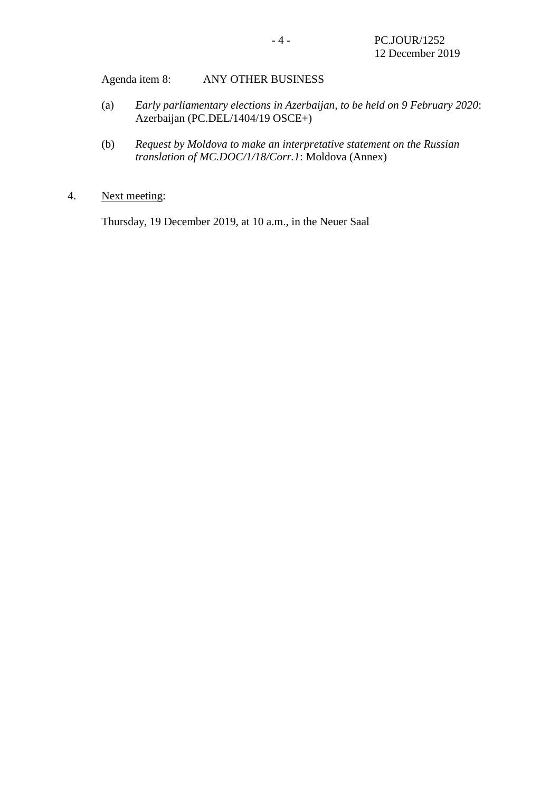Agenda item 8: ANY OTHER BUSINESS

- (a) *Early parliamentary elections in Azerbaijan, to be held on 9 February 2020*: Azerbaijan (PC.DEL/1404/19 OSCE+)
- (b) *Request by Moldova to make an interpretative statement on the Russian translation of MC.DOC/1/18/Corr.1*: Moldova (Annex)
- 4. Next meeting:

Thursday, 19 December 2019, at 10 a.m., in the Neuer Saal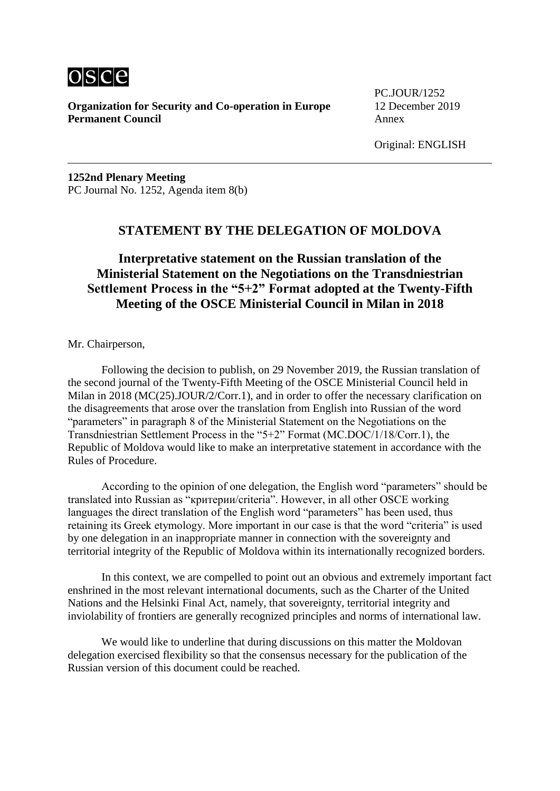

**Organization for Security and Co-operation in Europe** 12 December 2019 **Permanent Council** Annex

PC.JOUR/1252

Original: ENGLISH

**1252nd Plenary Meeting** PC Journal No. 1252, Agenda item 8(b)

### **STATEMENT BY THE DELEGATION OF MOLDOVA**

# **Interpretative statement on the Russian translation of the Ministerial Statement on the Negotiations on the Transdniestrian Settlement Process in the "5+2" Format adopted at the Twenty-Fifth Meeting of the OSCE Ministerial Council in Milan in 2018**

Mr. Chairperson,

Following the decision to publish, on 29 November 2019, the Russian translation of the second journal of the Twenty-Fifth Meeting of the OSCE Ministerial Council held in Milan in 2018 (MC(25).JOUR/2/Corr.1), and in order to offer the necessary clarification on the disagreements that arose over the translation from English into Russian of the word "parameters" in paragraph 8 of the Ministerial Statement on the Negotiations on the Transdniestrian Settlement Process in the "5+2" Format (MC.DOC/1/18/Corr.1), the Republic of Moldova would like to make an interpretative statement in accordance with the Rules of Procedure.

According to the opinion of one delegation, the English word "parameters" should be translated into Russian as "критерии/criteria". However, in all other OSCE working languages the direct translation of the English word "parameters" has been used, thus retaining its Greek etymology. More important in our case is that the word "criteria" is used by one delegation in an inappropriate manner in connection with the sovereignty and territorial integrity of the Republic of Moldova within its internationally recognized borders.

In this context, we are compelled to point out an obvious and extremely important fact enshrined in the most relevant international documents, such as the Charter of the United Nations and the Helsinki Final Act, namely, that sovereignty, territorial integrity and inviolability of frontiers are generally recognized principles and norms of international law.

We would like to underline that during discussions on this matter the Moldovan delegation exercised flexibility so that the consensus necessary for the publication of the Russian version of this document could be reached.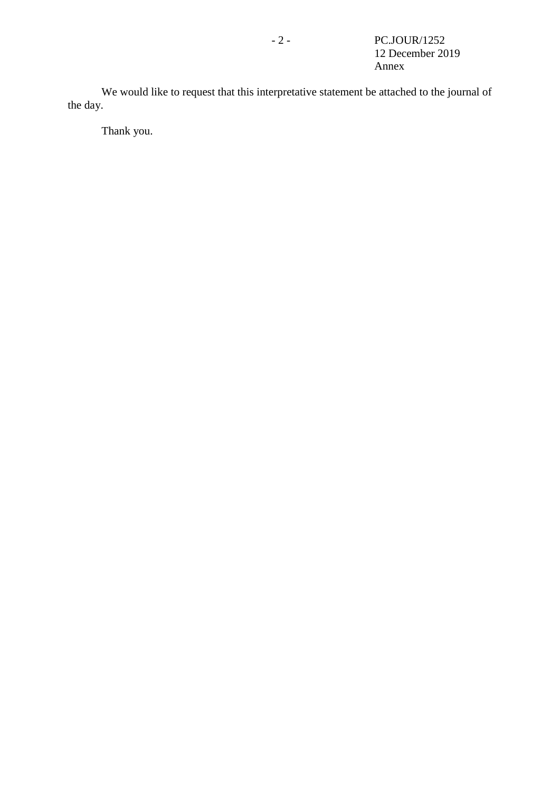We would like to request that this interpretative statement be attached to the journal of the day.

Thank you.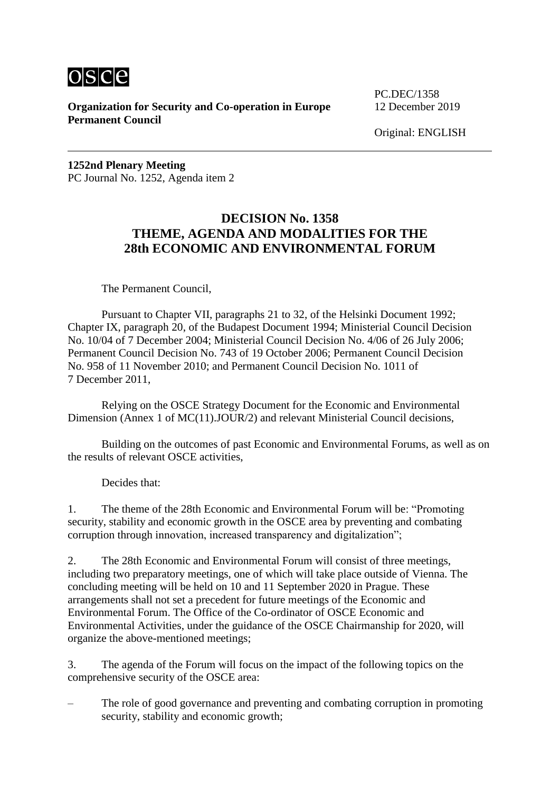

**Organization for Security and Co-operation in Europe** 12 December 2019 **Permanent Council**

PC.DEC/1358

Original: ENGLISH

**1252nd Plenary Meeting** PC Journal No. 1252, Agenda item 2

### **DECISION No. 1358 THEME, AGENDA AND MODALITIES FOR THE 28th ECONOMIC AND ENVIRONMENTAL FORUM**

The Permanent Council,

Pursuant to Chapter VII, paragraphs 21 to 32, of the Helsinki Document 1992; Chapter IX, paragraph 20, of the Budapest Document 1994; Ministerial Council Decision No. 10/04 of 7 December 2004; Ministerial Council Decision No. 4/06 of 26 July 2006; Permanent Council Decision No. 743 of 19 October 2006; Permanent Council Decision No. 958 of 11 November 2010; and Permanent Council Decision No. 1011 of 7 December 2011,

Relying on the OSCE Strategy Document for the Economic and Environmental Dimension (Annex 1 of MC(11).JOUR/2) and relevant Ministerial Council decisions,

Building on the outcomes of past Economic and Environmental Forums, as well as on the results of relevant OSCE activities,

Decides that:

1. The theme of the 28th Economic and Environmental Forum will be: "Promoting security, stability and economic growth in the OSCE area by preventing and combating corruption through innovation, increased transparency and digitalization";

2. The 28th Economic and Environmental Forum will consist of three meetings, including two preparatory meetings, one of which will take place outside of Vienna. The concluding meeting will be held on 10 and 11 September 2020 in Prague. These arrangements shall not set a precedent for future meetings of the Economic and Environmental Forum. The Office of the Co-ordinator of OSCE Economic and Environmental Activities, under the guidance of the OSCE Chairmanship for 2020, will organize the above-mentioned meetings;

3. The agenda of the Forum will focus on the impact of the following topics on the comprehensive security of the OSCE area:

– The role of good governance and preventing and combating corruption in promoting security, stability and economic growth: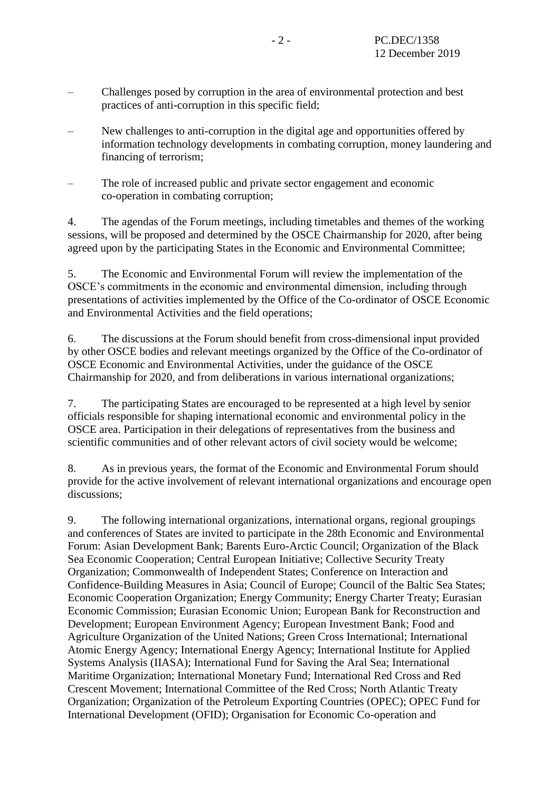- Challenges posed by corruption in the area of environmental protection and best practices of anti-corruption in this specific field;
- New challenges to anti-corruption in the digital age and opportunities offered by information technology developments in combating corruption, money laundering and financing of terrorism;
- The role of increased public and private sector engagement and economic co-operation in combating corruption;

4. The agendas of the Forum meetings, including timetables and themes of the working sessions, will be proposed and determined by the OSCE Chairmanship for 2020, after being agreed upon by the participating States in the Economic and Environmental Committee;

5. The Economic and Environmental Forum will review the implementation of the OSCE's commitments in the economic and environmental dimension, including through presentations of activities implemented by the Office of the Co-ordinator of OSCE Economic and Environmental Activities and the field operations;

6. The discussions at the Forum should benefit from cross-dimensional input provided by other OSCE bodies and relevant meetings organized by the Office of the Co-ordinator of OSCE Economic and Environmental Activities, under the guidance of the OSCE Chairmanship for 2020, and from deliberations in various international organizations;

7. The participating States are encouraged to be represented at a high level by senior officials responsible for shaping international economic and environmental policy in the OSCE area. Participation in their delegations of representatives from the business and scientific communities and of other relevant actors of civil society would be welcome;

8. As in previous years, the format of the Economic and Environmental Forum should provide for the active involvement of relevant international organizations and encourage open discussions;

9. The following international organizations, international organs, regional groupings and conferences of States are invited to participate in the 28th Economic and Environmental Forum: Asian Development Bank; Barents Euro-Arctic Council; Organization of the Black Sea Economic Cooperation; Central European Initiative; Collective Security Treaty Organization; Commonwealth of Independent States; Conference on Interaction and Confidence-Building Measures in Asia; Council of Europe; Council of the Baltic Sea States; Economic Cooperation Organization; Energy Community; Energy Charter Treaty; Eurasian Economic Commission; Eurasian Economic Union; European Bank for Reconstruction and Development; European Environment Agency; European Investment Bank; Food and Agriculture Organization of the United Nations; Green Cross International; International Atomic Energy Agency; International Energy Agency; International Institute for Applied Systems Analysis (IIASA); International Fund for Saving the Aral Sea; International Maritime Organization; International Monetary Fund; International Red Cross and Red Crescent Movement; International Committee of the Red Cross; North Atlantic Treaty Organization; Organization of the Petroleum Exporting Countries (OPEC); OPEC Fund for International Development (OFID); Organisation for Economic Co-operation and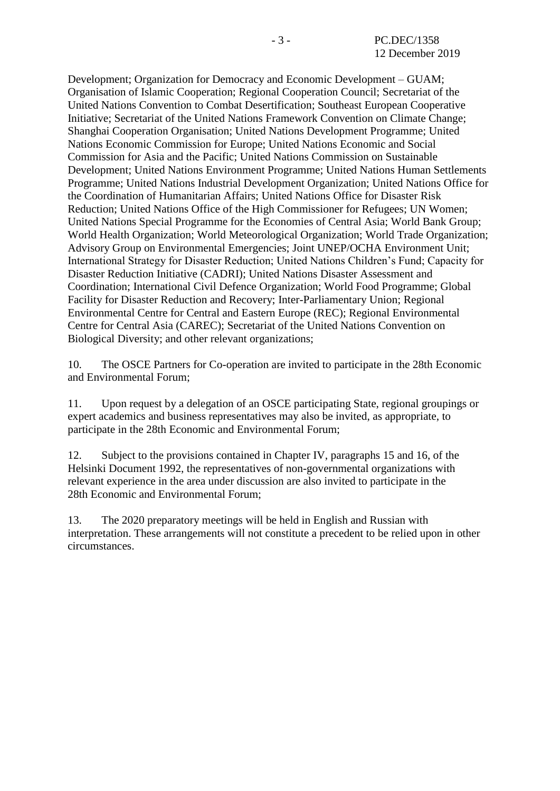Development; Organization for Democracy and Economic Development – GUAM; Organisation of Islamic Cooperation; Regional Cooperation Council; Secretariat of the United Nations Convention to Combat Desertification; Southeast European Cooperative Initiative; Secretariat of the United Nations Framework Convention on Climate Change; Shanghai Cooperation Organisation; United Nations Development Programme; United Nations Economic Commission for Europe; United Nations Economic and Social Commission for Asia and the Pacific; United Nations Commission on Sustainable Development; United Nations Environment Programme; United Nations Human Settlements Programme; United Nations Industrial Development Organization; United Nations Office for the Coordination of Humanitarian Affairs; United Nations Office for Disaster Risk Reduction; United Nations Office of the High Commissioner for Refugees; UN Women; United Nations Special Programme for the Economies of Central Asia; World Bank Group; World Health Organization; World Meteorological Organization; World Trade Organization; Advisory Group on Environmental Emergencies; Joint UNEP/OCHA Environment Unit; International Strategy for Disaster Reduction; United Nations Children's Fund; Capacity for Disaster Reduction Initiative (CADRI); United Nations Disaster Assessment and Coordination; International Civil Defence Organization; World Food Programme; Global Facility for Disaster Reduction and Recovery; Inter-Parliamentary Union; Regional Environmental Centre for Central and Eastern Europe (REC); Regional Environmental Centre for Central Asia (CAREC); Secretariat of the United Nations Convention on Biological Diversity; and other relevant organizations;

10. The OSCE Partners for Co-operation are invited to participate in the 28th Economic and Environmental Forum;

11. Upon request by a delegation of an OSCE participating State, regional groupings or expert academics and business representatives may also be invited, as appropriate, to participate in the 28th Economic and Environmental Forum;

12. Subject to the provisions contained in Chapter IV, paragraphs 15 and 16, of the Helsinki Document 1992, the representatives of non-governmental organizations with relevant experience in the area under discussion are also invited to participate in the 28th Economic and Environmental Forum;

13. The 2020 preparatory meetings will be held in English and Russian with interpretation. These arrangements will not constitute a precedent to be relied upon in other circumstances.